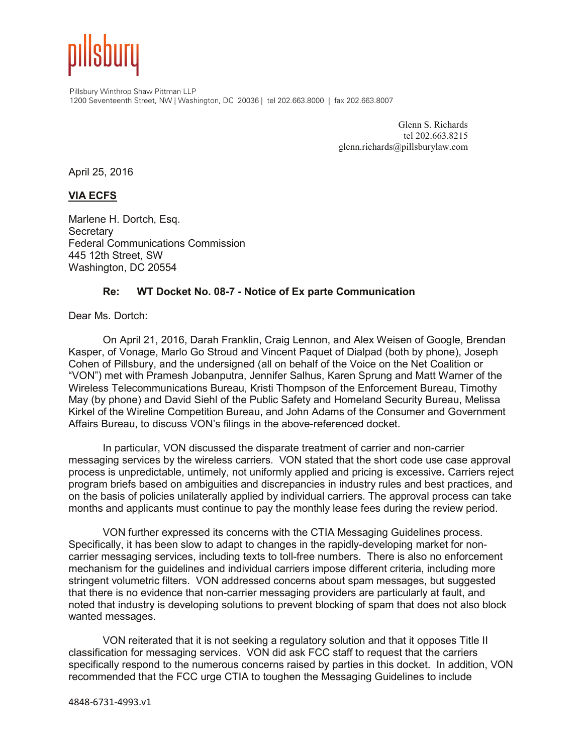

Pillsbury Winthrop Shaw Pittman LLP 1200 Seventeenth Street, NW | Washington, DC 20036 | tel 202.663.8000 | fax 202.663.8007

> Glenn S. Richards tel 202.663.8215 glenn.richards@pillsburylaw.com

April 25, 2016

## **VIA ECFS**

Marlene H. Dortch, Esq. **Secretary** Federal Communications Commission 445 12th Street, SW Washington, DC 20554

## **Re: WT Docket No. 08-7 - Notice of Ex parte Communication**

Dear Ms. Dortch:

On April 21, 2016, Darah Franklin, Craig Lennon, and Alex Weisen of Google, Brendan Kasper, of Vonage, Marlo Go Stroud and Vincent Paquet of Dialpad (both by phone), Joseph Cohen of Pillsbury, and the undersigned (all on behalf of the Voice on the Net Coalition or "VON") met with Pramesh Jobanputra, Jennifer Salhus, Karen Sprung and Matt Warner of the Wireless Telecommunications Bureau, Kristi Thompson of the Enforcement Bureau, Timothy May (by phone) and David Siehl of the Public Safety and Homeland Security Bureau, Melissa Kirkel of the Wireline Competition Bureau, and John Adams of the Consumer and Government Affairs Bureau, to discuss VON's filings in the above-referenced docket.

In particular, VON discussed the disparate treatment of carrier and non-carrier messaging services by the wireless carriers. VON stated that the short code use case approval process is unpredictable, untimely, not uniformly applied and pricing is excessive**.** Carriers reject program briefs based on ambiguities and discrepancies in industry rules and best practices, and on the basis of policies unilaterally applied by individual carriers. The approval process can take months and applicants must continue to pay the monthly lease fees during the review period.

VON further expressed its concerns with the CTIA Messaging Guidelines process. Specifically, it has been slow to adapt to changes in the rapidly-developing market for noncarrier messaging services, including texts to toll-free numbers. There is also no enforcement mechanism for the guidelines and individual carriers impose different criteria, including more stringent volumetric filters. VON addressed concerns about spam messages, but suggested that there is no evidence that non-carrier messaging providers are particularly at fault, and noted that industry is developing solutions to prevent blocking of spam that does not also block wanted messages.

VON reiterated that it is not seeking a regulatory solution and that it opposes Title II classification for messaging services. VON did ask FCC staff to request that the carriers specifically respond to the numerous concerns raised by parties in this docket. In addition, VON recommended that the FCC urge CTIA to toughen the Messaging Guidelines to include